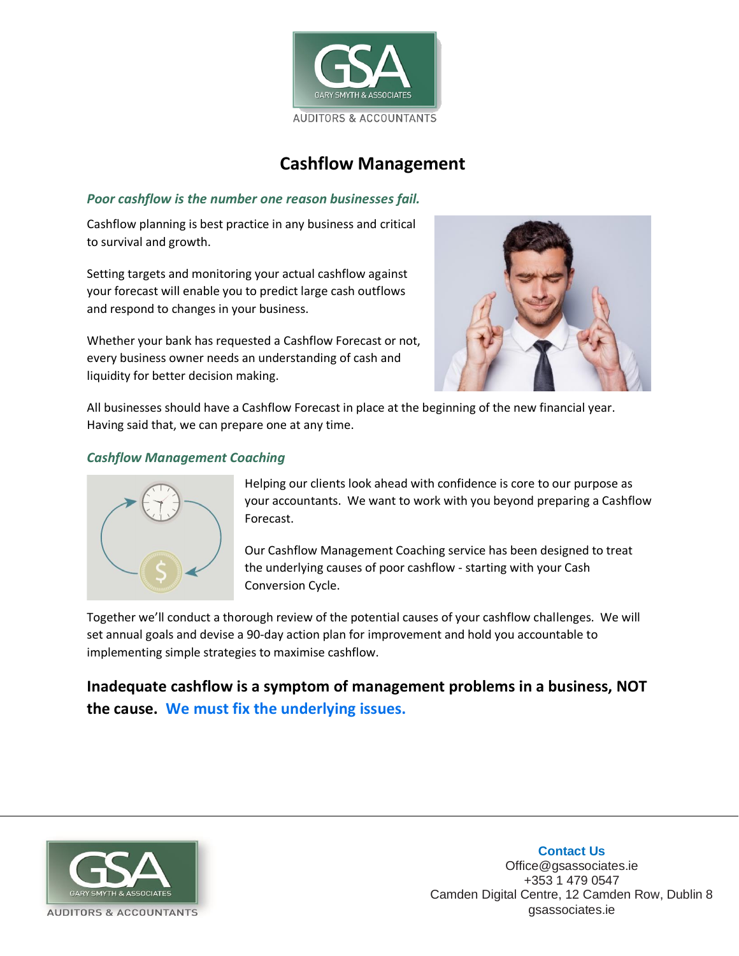

## **Cashflow Management**

## *Poor cashflow is the number one reason businesses fail.*

Cashflow planning is best practice in any business and critical to survival and growth.

Setting targets and monitoring your actual cashflow against your forecast will enable you to predict large cash outflows and respond to changes in your business.

Whether your bank has requested a Cashflow Forecast or not, every business owner needs an understanding of cash and liquidity for better decision making.



All businesses should have a Cashflow Forecast in place at the beginning of the new financial year. Having said that, we can prepare one at any time.

## *Cashflow Management Coaching*



Helping our clients look ahead with confidence is core to our purpose as your accountants. We want to work with you beyond preparing a Cashflow Forecast.

Our Cashflow Management Coaching service has been designed to treat the underlying causes of poor cashflow - starting with your Cash Conversion Cycle.

Together we'll conduct a thorough review of the potential causes of your cashflow challenges. We will set annual goals and devise a 90-day action plan for improvement and hold you accountable to implementing simple strategies to maximise cashflow.

**Inadequate cashflow is a symptom of management problems in a business, NOT the cause. We must fix the underlying issues.**



**Contact Us** Office@gsassociates.ie +353 1 479 0547 Camden Digital Centre, 12 Camden Row, Dublin 8 gsassociates.ie